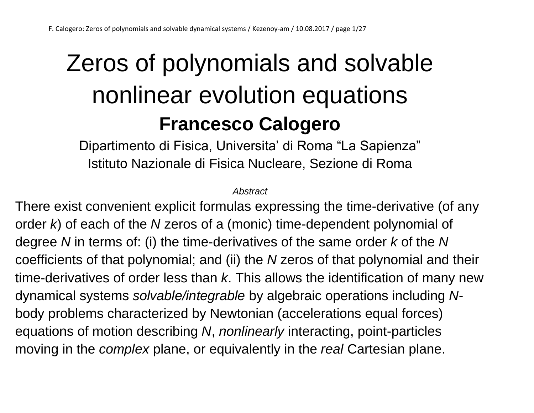## Zeros of polynomials and solvable nonlinear evolution equations **Francesco Calogero**

Dipartimento di Fisica, Universita' di Roma "La Sapienza" Istituto Nazionale di Fisica Nucleare, Sezione di Roma

*Abstract*

There exist convenient explicit formulas expressing the time-derivative (of any order *k*) of each of the *N* zeros of a (monic) time-dependent polynomial of degree *N* in terms of: (i) the time-derivatives of the same order *k* of the *N* coefficients of that polynomial; and (ii) the *N* zeros of that polynomial and their time-derivatives of order less than *k*. This allows the identification of many new dynamical systems *solvable/integrable* by algebraic operations including *N*body problems characterized by Newtonian (accelerations equal forces) equations of motion describing *N*, *nonlinearly* interacting, point-particles moving in the *complex* plane, or equivalently in the *real* Cartesian plane.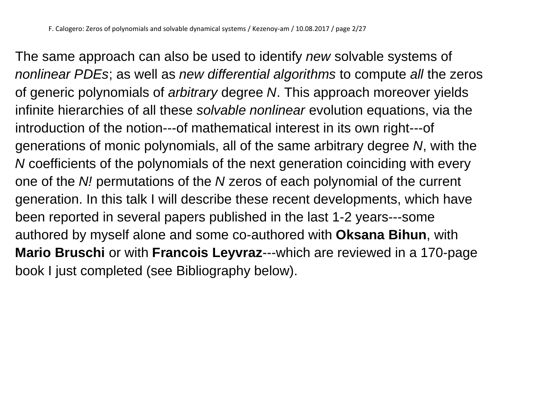The same approach can also be used to identify *new* solvable systems of *nonlinear PDEs*; as well as *new differential algorithms* to compute *all* the zeros of generic polynomials of *arbitrary* degree *N*. This approach moreover yields infinite hierarchies of all these *solvable nonlinear* evolution equations, via the introduction of the notion---of mathematical interest in its own right---of generations of monic polynomials, all of the same arbitrary degree *N*, with the *N* coefficients of the polynomials of the next generation coinciding with every one of the *N!* permutations of the *N* zeros of each polynomial of the current generation. In this talk I will describe these recent developments, which have been reported in several papers published in the last 1-2 years---some authored by myself alone and some co-authored with **Oksana Bihun**, with **Mario Bruschi** or with **Francois Leyvraz**---which are reviewed in a 170-page book I just completed (see Bibliography below).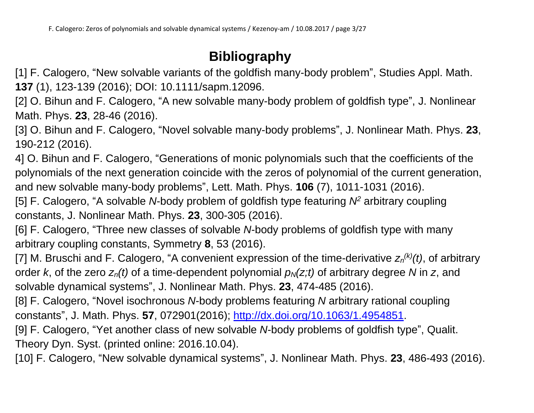#### **Bibliography**

[1] F. Calogero, "New solvable variants of the goldfish many-body problem", Studies Appl. Math. **137** (1), 123-139 (2016); DOI: 10.1111/sapm.12096.

[2] O. Bihun and F. Calogero, "A new solvable many-body problem of goldfish type", J. Nonlinear Math. Phys. **23**, 28-46 (2016).

[3] O. Bihun and F. Calogero, "Novel solvable many-body problems", J. Nonlinear Math. Phys. **23**, 190-212 (2016).

4] O. Bihun and F. Calogero, "Generations of monic polynomials such that the coefficients of the polynomials of the next generation coincide with the zeros of polynomial of the current generation, and new solvable many-body problems", Lett. Math. Phys. **106** (7), 1011-1031 (2016).

[5] F. Calogero, "A solvable *N*-body problem of goldfish type featuring *N<sup>2</sup>* arbitrary coupling constants, J. Nonlinear Math. Phys. **23**, 300-305 (2016).

[6] F. Calogero, "Three new classes of solvable *N*-body problems of goldfish type with many arbitrary coupling constants, Symmetry **8**, 53 (2016).

[7] M. Bruschi and F. Calogero, "A convenient expression of the time-derivative  $z_n^{(k)}(t)$ , of arbitrary order *k*, of the zero  $z_n(t)$  of a time-dependent polynomial  $p_N(z;t)$  of arbitrary degree N in z, and solvable dynamical systems", J. Nonlinear Math. Phys. **23**, 474-485 (2016).

[8] F. Calogero, "Novel isochronous *N*-body problems featuring *N* arbitrary rational coupling constants", J. Math. Phys. **57**, 072901(2016); [http://dx.doi.org/10.1063/1.4954851.](http://dx.doi.org/10.1063/1.4954851)

[9] F. Calogero, "Yet another class of new solvable *N*-body problems of goldfish type", Qualit. Theory Dyn. Syst. (printed online: 2016.10.04).

[10] F. Calogero, "New solvable dynamical systems", J. Nonlinear Math. Phys. **23**, 486-493 (2016).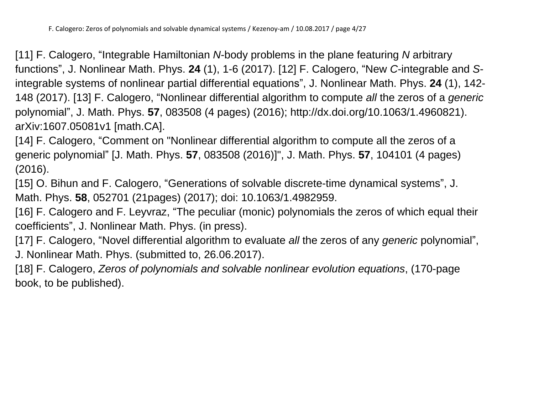[11] F. Calogero, "Integrable Hamiltonian *N*-body problems in the plane featuring *N* arbitrary functions", J. Nonlinear Math. Phys. **24** (1), 1-6 (2017). [12] F. Calogero, "New *C*-integrable and *S*integrable systems of nonlinear partial differential equations", J. Nonlinear Math. Phys. **24** (1), 142- 148 (2017). [13] F. Calogero, "Nonlinear differential algorithm to compute *all* the zeros of a *generic* polynomial", J. Math. Phys. **57**, 083508 (4 pages) (2016); http://dx.doi.org/10.1063/1.4960821). arXiv:1607.05081v1 [math.CA].

[14] F. Calogero, "Comment on "Nonlinear differential algorithm to compute all the zeros of a generic polynomial" [J. Math. Phys. **57**, 083508 (2016)]", J. Math. Phys. **57**, 104101 (4 pages) (2016).

[15] O. Bihun and F. Calogero, "Generations of solvable discrete-time dynamical systems", J. Math. Phys. **58**, 052701 (21pages) (2017); doi: 10.1063/1.4982959.

[16] F. Calogero and F. Leyvraz, "The peculiar (monic) polynomials the zeros of which equal their coefficients", J. Nonlinear Math. Phys. (in press).

[17] F. Calogero, "Novel differential algorithm to evaluate *all* the zeros of any *generic* polynomial", J. Nonlinear Math. Phys. (submitted to, 26.06.2017).

[18] F. Calogero, *Zeros of polynomials and solvable nonlinear evolution equations*, (170-page book, to be published).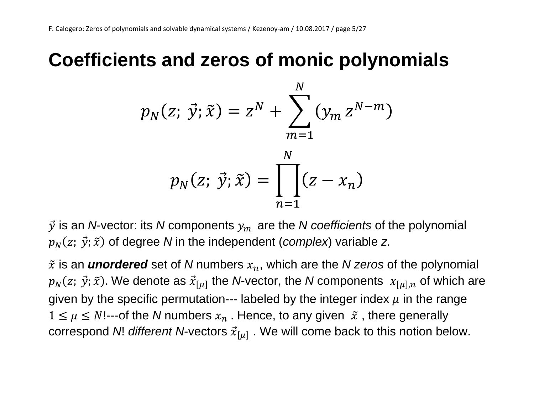#### **Coefficients and zeros of monic polynomials**

$$
p_N(z; \vec{y}; \tilde{x}) = z^N + \sum_{m=1}^N (y_m z^{N-m})
$$

$$
p_N(z; \vec{y}; \tilde{x}) = \prod_{n=1}^N (z - x_n)
$$

 $\vec{y}$  is an *N*-vector: its *N* components  $y_m$  are the *N* coefficients of the polynomial  $p_N(z; \ \vec{\mathrm{y}}; \widetilde{x})$  of degree  $N$  in the independent (*complex*) variable  $z$ .

 $\tilde{x}$  is an **unordered** set of N numbers  $x_n$ , which are the N zeros of the polynomial  $p_N(z; \ \vec{\mathit{y}}; \widetilde{x}).$  We denote as  $\vec{x}_{[\mu]}$  the *N*-vector, the *N* components  $\ x_{[\mu],n}$  of which are given by the specific permutation--- labeled by the integer index  $\mu$  in the range  $1 \leq \mu \leq N!$ ---of the N numbers  $x_n$ . Hence, to any given  $\tilde{x}$ , there generally correspond *N*! *different N*-vectors  $\vec{x}_{[\mu]}$  . We will come back to this notion below.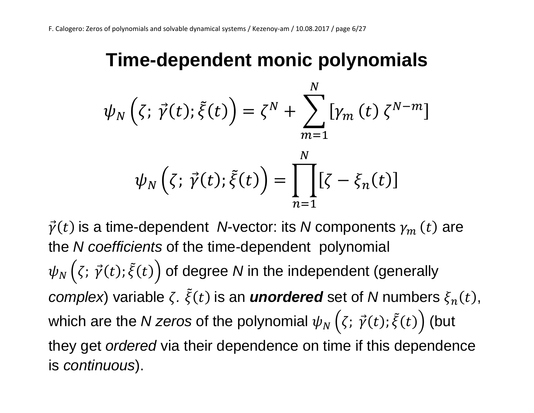#### **Time-dependent monic polynomials**

$$
\psi_N(\zeta; \vec{\gamma}(t); \tilde{\xi}(t)) = \zeta^N + \sum_{m=1}^N \left[ \gamma_m(t) \zeta^{N-m} \right]
$$

$$
\psi_N(\zeta; \vec{\gamma}(t); \tilde{\xi}(t)) = \prod_{n=1}^N \left[ \zeta - \xi_n(t) \right]
$$

 $\vec{\gamma}(t)$  is a time-dependent *N*-vector: its *N* components  $\gamma_m\left(t\right)$  are the *N coefficients* of the time-dependent polynomial  $\psi_N\left(\zeta;\,\vec{\gamma}(t);\tilde{\xi}(t)\right)$  of degree  $N$  in the independent (generally *complex*) variable  $\zeta$ .  $\tilde{\xi}(t)$  is an *unordered* set of *N* numbers  $\xi_n(t)$ , which are the *N zeros* of the polynomial  $\psi_N\left(\zeta;\,\vec{\gamma}(t);\tilde{\xi}(t)\right)$  (but they get *ordered* via their dependence on time if this dependence is *continuous*).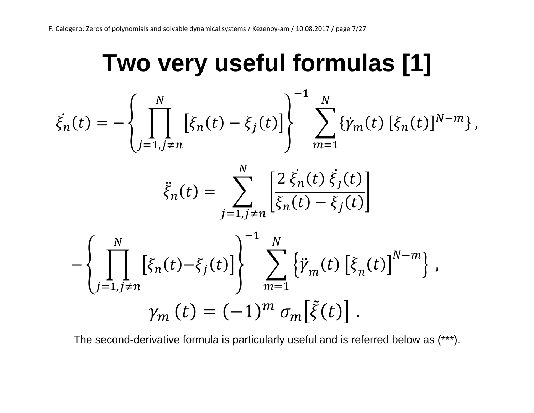## **Two very useful formulas [1]**

$$
\dot{\xi}_{n}(t) = -\left\{ \prod_{j=1, j \neq n}^{N} \left[ \xi_{n}(t) - \xi_{j}(t) \right] \right\}^{-1} \sum_{m=1}^{N} \left\{ \dot{\gamma}_{m}(t) \left[ \xi_{n}(t) \right]^{N-m} \right\},
$$
\n
$$
\ddot{\xi}_{n}(t) = \sum_{j=1, j \neq n}^{N} \left[ \frac{2 \xi_{n}(t) \xi_{j}(t)}{\xi_{n}(t) - \xi_{j}(t)} \right]
$$
\n
$$
- \left\{ \prod_{j=1, j \neq n}^{N} \left[ \xi_{n}(t) - \xi_{j}(t) \right] \right\}^{-1} \sum_{m=1}^{N} \left\{ \ddot{\gamma}_{m}(t) \left[ \xi_{n}(t) \right]^{N-m} \right\},
$$
\n
$$
\gamma_{m}(t) = (-1)^{m} \sigma_{m} \left[ \tilde{\xi}(t) \right].
$$

The second-derivative formula is particularly useful and is referred below as (\*\*\*).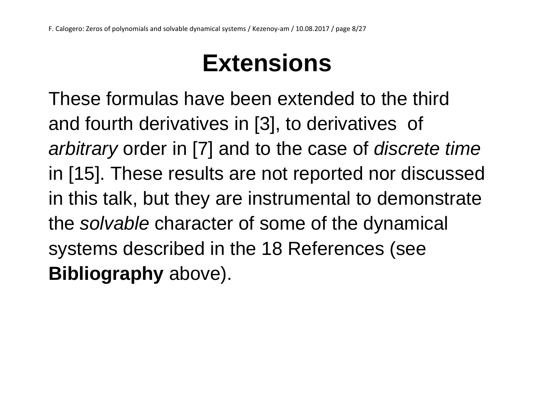## **Extensions**

These formulas have been extended to the third and fourth derivatives in [3], to derivatives of *arbitrary* order in [7] and to the case of *discrete time* in [15]. These results are not reported nor discussed in this talk, but they are instrumental to demonstrate the *solvable* character of some of the dynamical systems described in the 18 References (see **Bibliography** above).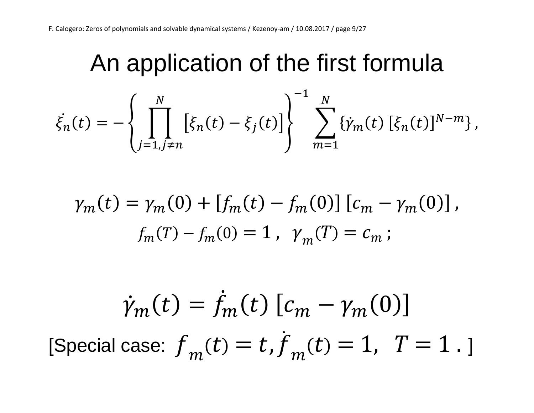## An application of the first formula

$$
\dot{\xi}_n(t) = -\left\{\prod_{j=1,j\neq n}^N \left[\xi_n(t) - \xi_j(t)\right]\right\}^{-1} \sum_{m=1}^N \{\dot{\gamma}_m(t) \left[\xi_n(t)\right]^{N-m}\},\,
$$

$$
\gamma_m(t) = \gamma_m(0) + [f_m(t) - f_m(0)] [c_m - \gamma_m(0)],
$$
  

$$
f_m(T) - f_m(0) = 1, \ \gamma_m(T) = c_m;
$$

$$
\dot{\gamma}_m(t) = \dot{f}_m(t) [c_m - \gamma_m(0)]
$$
  
[Special case:  $f_m(t) = t, \dot{f}_m(t) = 1, T = 1.$ ]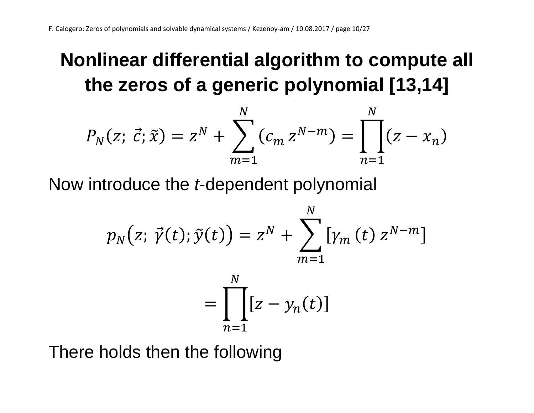### **Nonlinear differential algorithm to compute all the zeros of a generic polynomial [13,14]**

$$
P_N(z; \vec{c}; \tilde{x}) = z^N + \sum_{m=1}^N (c_m z^{N-m}) = \prod_{n=1}^N (z - x_n)
$$

Now introduce the *t*-dependent polynomial

$$
p_N(z; \vec{\gamma}(t); \tilde{y}(t)) = z^N + \sum_{m=1}^N \left[ \gamma_m(t) \, z^{N-m} \right]
$$

$$
= \prod_{k=1}^N \left[ z - \gamma_n(t) \right]
$$

 $n=1$ 

There holds then the following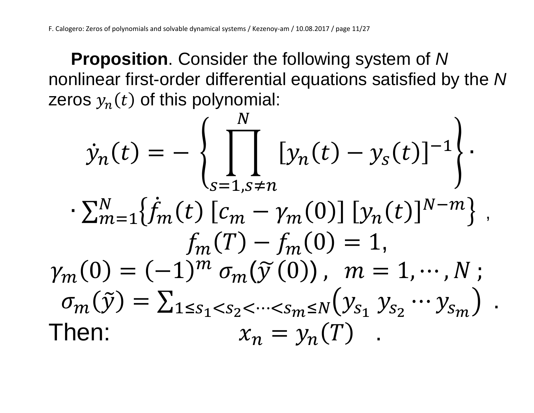**Proposition**. Consider the following system of *N* nonlinear first-order differential equations satisfied by the *N* zeros  $y_n(t)$  of this polynomial:

$$
\dot{y}_n(t) = -\left\{ \prod_{s=1, s \neq n}^N [y_n(t) - y_s(t)]^{-1} \right\}.
$$

$$
\cdot \sum_{m=1}^N \{ \dot{f}_m(t) [c_m - \gamma_m(0)] [y_n(t)]^{N-m} \},
$$

$$
f_m(T) - f_m(0) = 1,
$$

$$
\gamma_m(0) = (-1)^m \sigma_m(\tilde{y}(0)), \quad m = 1, \cdots, N;
$$

$$
\sigma_m(\tilde{y}) = \sum_{1 \le s_1 < s_2 < \cdots < s_m \le N} (y_{s_1} y_{s_2} \cdots y_{s_m}) .
$$
Then: 
$$
x_n = y_n(T).
$$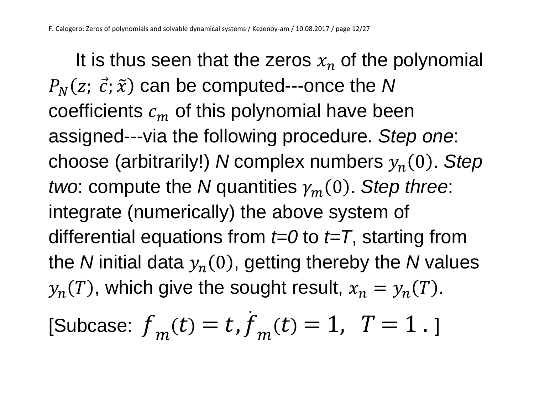It is thus seen that the zeros  $x_n$  of the polynomial  $P_N(z; \; \vec{c}; \widetilde{x})$  can be computed---once the N coefficients  $c_m$  of this polynomial have been assigned---via the following procedure. *Step one*: choose (arbitrarily!) *N* complex numbers  $y_n(0)$ . Step *two*: compute the *N* quantities  $\gamma_m(0)$ . *Step three*: integrate (numerically) the above system of differential equations from *t=0* to *t=T*, starting from the *N* initial data  $y_n(0)$ , getting thereby the *N* values  $y_n(T)$ , which give the sought result,  $x_n = y_n(T)$ .

[Subcase: 
$$
f_m(t) = t
$$
,  $\dot{f}_m(t) = 1$ ,  $T = 1$ .]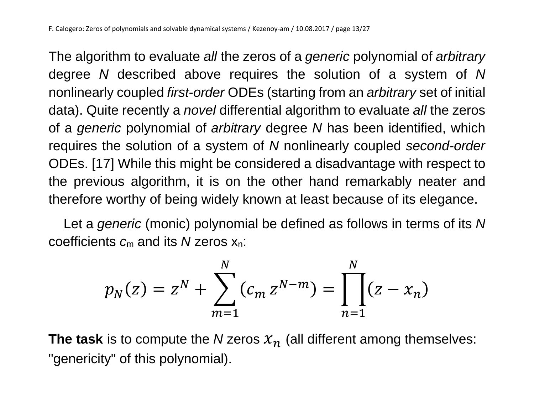The algorithm to evaluate *all* the zeros of a *generic* polynomial of *arbitrary* degree *N* described above requires the solution of a system of *N* nonlinearly coupled *first-order* ODEs (starting from an *arbitrary* set of initial data). Quite recently a *novel* differential algorithm to evaluate *all* the zeros of a *generic* polynomial of *arbitrary* degree *N* has been identified, which requires the solution of a system of *N* nonlinearly coupled *second-order* ODEs. [17] While this might be considered a disadvantage with respect to the previous algorithm, it is on the other hand remarkably neater and therefore worthy of being widely known at least because of its elegance.

 Let a *generic* (monic) polynomial be defined as follows in terms of its *N* coefficients *c*<sup>m</sup> and its *N* zeros xn:

$$
p_N(z) = z^N + \sum_{m=1}^N (c_m z^{N-m}) = \prod_{n=1}^N (z - x_n)
$$

**The task** is to compute the *N* zeros  $x_n$  (all different among themselves: "genericity" of this polynomial).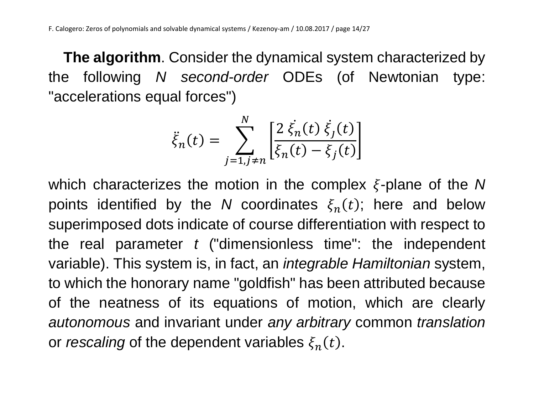**The algorithm**. Consider the dynamical system characterized by the following *N second-order* ODEs (of Newtonian type: "accelerations equal forces")

$$
\ddot{\xi}_n(t) = \sum_{j=1, j \neq n}^{N} \left[ \frac{2 \dot{\xi}_n(t) \dot{\xi}_j(t)}{\xi_n(t) - \xi_j(t)} \right]
$$

which characterizes the motion in the complex  $\xi$ -plane of the N points identified by the *N* coordinates  $\xi_n(t)$ ; here and below superimposed dots indicate of course differentiation with respect to the real parameter *t* ("dimensionless time": the independent variable). This system is, in fact, an *integrable Hamiltonian* system, to which the honorary name "goldfish" has been attributed because of the neatness of its equations of motion, which are clearly *autonomous* and invariant under *any arbitrary* common *translation* or *rescaling* of the dependent variables  $\xi_n(t)$ .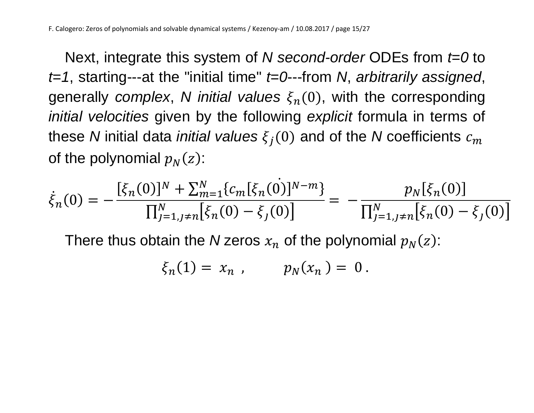Next, integrate this system of *N second-order* ODEs from *t=0* to *t=1*, starting---at the "initial time" *t=0*---from *N*, *arbitrarily assigned*, generally *complex*, *N initial values*  $\xi_n(0)$ , with the corresponding *initial velocities* given by the following *explicit* formula in terms of these *N* initial data *initial values*  $\xi_i(0)$  and of the *N* coefficients  $c_m$ of the polynomial  $p_N(z)$ :

$$
\dot{\xi}_n(0) = -\frac{[\xi_n(0)]^N + \sum_{m=1}^N \{c_m[\xi_n(0)]^{N-m}\}}{\prod_{j=1, j\neq n}^N [\xi_n(0) - \xi_j(0)]} = -\frac{p_N[\xi_n(0)]}{\prod_{j=1, j\neq n}^N [\xi_n(0) - \xi_j(0)]}
$$

There thus obtain the *N* zeros  $x_n$  of the polynomial  $p_N(z)$ :

$$
\xi_n(1) = x_n \t, \t p_N(x_n) = 0.
$$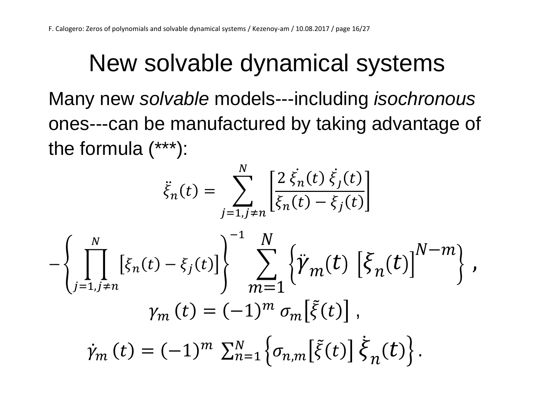## New solvable dynamical systems

Many new *solvable* models---including *isochronous* ones---can be manufactured by taking advantage of the formula (\*\*\*):

 $\overline{M}$ 

$$
\ddot{\xi}_{n}(t) = \sum_{j=1, j \neq n}^{N} \left[ \frac{2 \dot{\xi}_{n}(t) \dot{\xi}_{j}(t)}{\xi_{n}(t) - \xi_{j}(t)} \right]
$$

$$
- \left\{ \prod_{j=1, j \neq n}^{N} \left[ \xi_{n}(t) - \xi_{j}(t) \right] \right\}^{-1} \sum_{m=1}^{N} \left\{ \ddot{\gamma}_{m}(t) \left[ \xi_{n}(t) \right]^{N-m} \right\},
$$

$$
\gamma_{m}(t) = (-1)^{m} \sigma_{m} \left[ \tilde{\xi}(t) \right],
$$

$$
\dot{\gamma}_{m}(t) = (-1)^{m} \sum_{n=1}^{N} \left\{ \sigma_{n,m} \left[ \tilde{\xi}(t) \right] \dot{\xi}_{n}(t) \right\}.
$$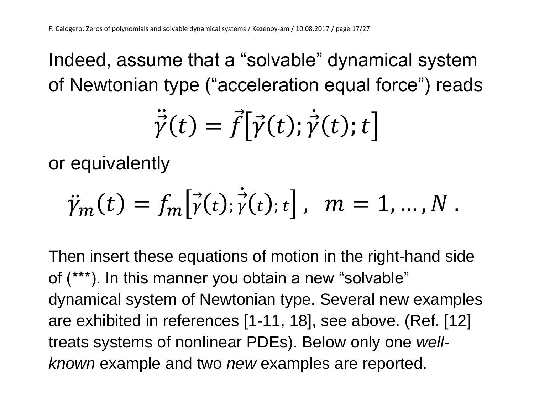Indeed, assume that a "solvable" dynamical system of Newtonian type ("acceleration equal force") reads

$$
\ddot{\vec{\gamma}}(t) = \vec{f} \big[ \vec{\gamma}(t); \dot{\vec{\gamma}}(t); t \big]
$$

or equivalently

$$
\ddot{\gamma}_m(t) = f_m[\dot{\gamma}(t); \dot{\gamma}(t); t], \quad m = 1, ..., N.
$$

Then insert these equations of motion in the right-hand side of (\*\*\*). In this manner you obtain a new "solvable" dynamical system of Newtonian type. Several new examples are exhibited in references [1-11, 18], see above. (Ref. [12] treats systems of nonlinear PDEs). Below only one *wellknown* example and two *new* examples are reported.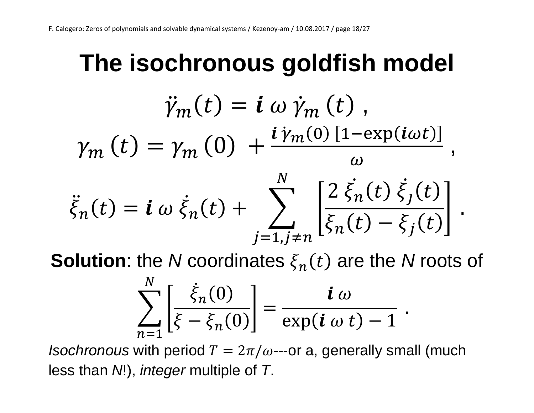#### **The isochronous goldfish model**  $\ddot{\gamma}_m(t) = \dot{\mathbf{i}} \omega \dot{\gamma}_m(t)$ ,  $\gamma_{m}(t) = \gamma_{m}(0) +$  $\bm{i}\,\dot{\bm{\gamma}}_m(0)$  [1−exp( $\bm{i}\omega t$ )]  $\omega$ ,  $\ddot{\xi}_n(t) = \mathbf{i} \omega \dot{\xi}_n(t) + \sum_{n=1}^{\infty}$  $2 \dot{\xi}_n(t) \dot{\xi}_j(t)$ ]  $\boldsymbol{N}$

$$
\bar{f}_n(t) = \mathbf{i} \omega \xi_n(t) + \sum_{j=1, j \neq n} \left[ \frac{\xi_n(t) - \xi_j(t)}{\xi_n(t) - \xi_j(t)} \right].
$$

**Solution**: the *N* coordinates  $\xi_n(t)$  are the *N* roots of

$$
\sum_{n=1}^{N} \left[ \frac{\dot{\xi}_n(0)}{\xi - \xi_n(0)} \right] = \frac{i \omega}{\exp(i \omega t) - 1}
$$

.

*Isochronous* with period  $T = 2\pi/\omega$ ---or a, generally small (much less than *N*!), *integer* multiple of *T*.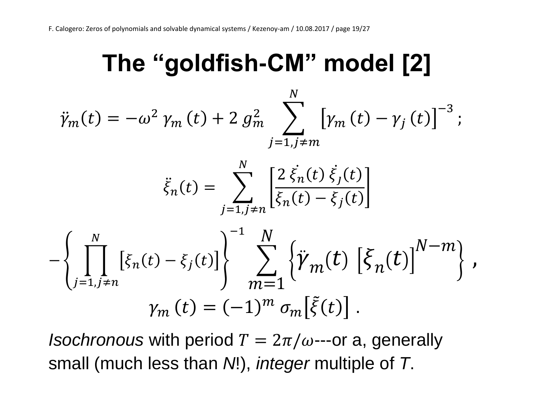## **The "goldfish-CM" model [2]**

$$
\ddot{\gamma}_{m}(t) = -\omega^{2} \gamma_{m}(t) + 2 g_{m}^{2} \sum_{j=1, j \neq m}^{N} \left[ \gamma_{m}(t) - \gamma_{j}(t) \right]^{-3};
$$
\n
$$
\ddot{\xi}_{n}(t) = \sum_{j=1, j \neq n}^{N} \left[ \frac{2 \dot{\xi}_{n}(t) \dot{\xi}_{j}(t)}{\dot{\xi}_{n}(t) - \dot{\xi}_{j}(t)} \right]
$$
\n
$$
- \left\{ \prod_{j=1, j \neq n}^{N} \left[ \xi_{n}(t) - \xi_{j}(t) \right] \right\}^{-1} \sum_{m=1}^{N} \left\{ \ddot{\gamma}_{m}(t) \left[ \dot{\xi}_{n}(t) \right]^{N-m} \right\},
$$
\n
$$
\gamma_{m}(t) = (-1)^{m} \sigma_{m} \left[ \ddot{\xi}(t) \right].
$$

*Isochronous* with period  $T = 2\pi/\omega$ ---or a, generally small (much less than *N*!), *integer* multiple of *T*.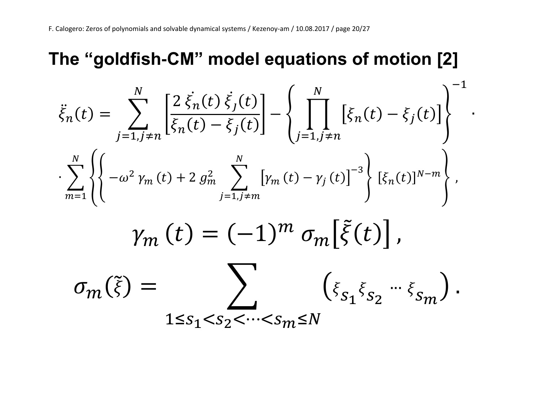#### **The "goldfish-CM" model equations of motion [2]**

$$
\ddot{\xi}_{n}(t) = \sum_{j=1, j \neq n}^{N} \left[ \frac{2 \dot{\xi}_{n}(t) \dot{\xi}_{j}(t)}{\xi_{n}(t) - \xi_{j}(t)} \right] - \left\{ \prod_{j=1, j \neq n}^{N} \left[ \xi_{n}(t) - \xi_{j}(t) \right] \right\}^{-1}
$$

$$
\cdot \sum_{m=1}^{N} \left\{ \left\{ -\omega^{2} \gamma_{m}(t) + 2 g_{m}^{2} \sum_{j=1, j \neq m}^{N} \left[ \gamma_{m}(t) - \gamma_{j}(t) \right]^{-3} \right\} \left[ \xi_{n}(t) \right]^{N-m} \right\},
$$

∙

$$
\gamma_m(t) = (-1)^m \sigma_m[\tilde{\xi}(t)],
$$

$$
\sigma_m(\tilde{\xi}) = \sum_{1 \leq s_1 < s_2 < \cdots < s_m \leq N} \left( \xi_{s_1} \xi_{s_2} - \xi_{s_m} \right).
$$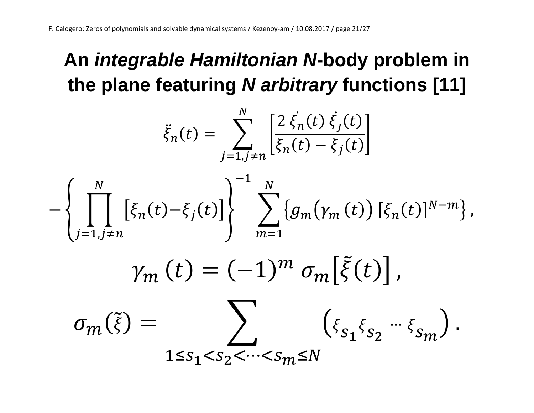### **An** *integrable Hamiltonian N***-body problem in the plane featuring** *N arbitrary* **functions [11]**

$$
\ddot{\xi}_{n}(t) = \sum_{j=1, j \neq n}^{N} \left[ \frac{2 \dot{\xi}_{n}(t) \dot{\xi}_{j}(t)}{\dot{\xi}_{n}(t) - \dot{\xi}_{j}(t)} \right]
$$

$$
- \left\{ \prod_{j=1, j \neq n}^{N} \left[ \xi_{n}(t) - \xi_{j}(t) \right] \right\}^{-1} \sum_{m=1}^{N} \left\{ g_{m}(\gamma_{m}(t)) \left[ \xi_{n}(t) \right]^{N-m} \right\},
$$

$$
\gamma_{m}(t) = (-1)^{m} \sigma_{m} \left[ \tilde{\xi}(t) \right],
$$

$$
\sigma_{m}(\tilde{\xi}) = \sum_{1 \le s_{1} < s_{2} < \dots < s_{m} \le N} \left( \xi_{s_{1}} \xi_{s_{2}} \cdots \xi_{s_{m}} \right).
$$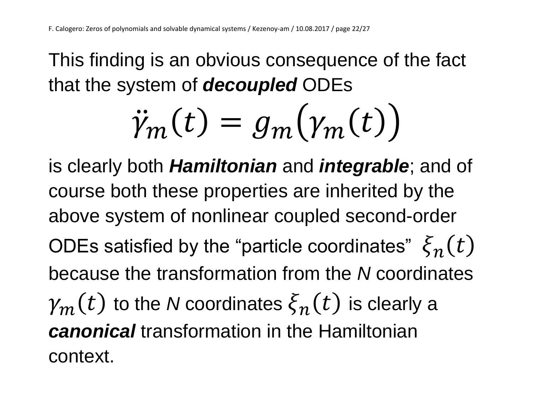This finding is an obvious consequence of the fact that the system of *decoupled* ODEs

$$
\ddot{\gamma}_m(t) = g_m(\gamma_m(t))
$$

is clearly both *Hamiltonian* and *integrable*; and of course both these properties are inherited by the above system of nonlinear coupled second-order ODEs satisfied by the "particle coordinates"  $\bar{\xi}_n(t)$ because the transformation from the *N* coordinates  $\mathcal{V}_m(t)$  to the *N* coordinates  $\xi_n(t)$  is clearly a *canonical* transformation in the Hamiltonian context.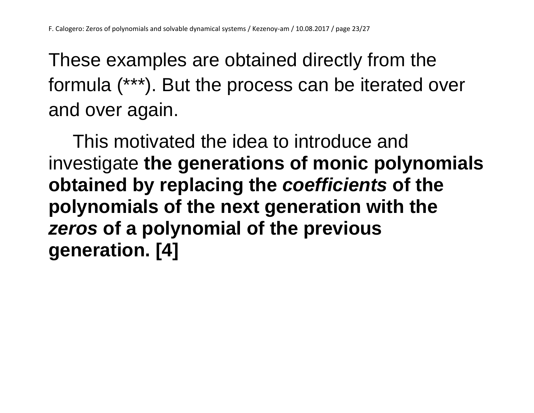These examples are obtained directly from the formula (\*\*\*). But the process can be iterated over and over again.

This motivated the idea to introduce and investigate **the generations of monic polynomials obtained by replacing the** *coefficients* **of the polynomials of the next generation with the**  *zeros* **of a polynomial of the previous generation. [4]**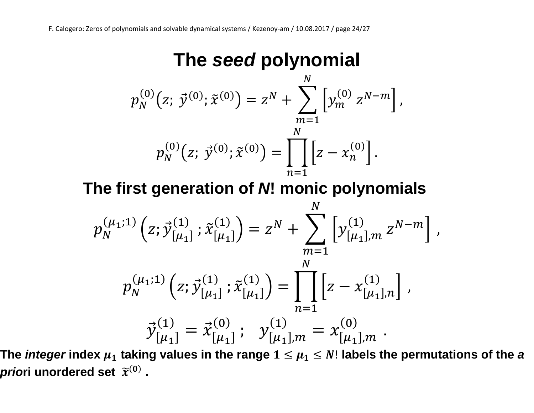#### **The** *seed* **polynomial**

$$
p_N^{(0)}(z; \vec{y}^{(0)}; \tilde{x}^{(0)}) = z^N + \sum_{m=1}^N \left[ y_m^{(0)} z^{N-m} \right],
$$
  

$$
p_N^{(0)}(z; \vec{y}^{(0)}; \tilde{x}^{(0)}) = \prod_{n=1}^N \left[ z - x_n^{(0)} \right].
$$

**The first generation of** *N***! monic polynomials**

$$
p_N^{(\mu_1;1)}(z; \vec{y}_{[\mu_1]}^{(1)}; \tilde{x}_{[\mu_1]}^{(1)}) = z^N + \sum_{m=1}^N \left[ y_{[\mu_1],m}^{(1)} z^{N-m} \right],
$$
  

$$
p_N^{(\mu_1;1)}(z; \vec{y}_{[\mu_1]}^{(1)}; \tilde{x}_{[\mu_1]}^{(1)}) = \prod_{n=1}^N \left[ z - x_{[\mu_1],n}^{(1)} \right],
$$
  

$$
\vec{y}_{[\mu_1]}^{(1)} = \vec{x}_{[\mu_1]}^{(0)}; \quad y_{[\mu_1],m}^{(1)} = x_{[\mu_1],m}^{(0)}.
$$

The *integer* index  $\mu_1$  taking values in the range  $1 \leq \mu_1 \leq N!$  labels the permutations of the  $\bm{a}$ *prio*ri unordered set  $\widetilde{x}^{(0)}$  .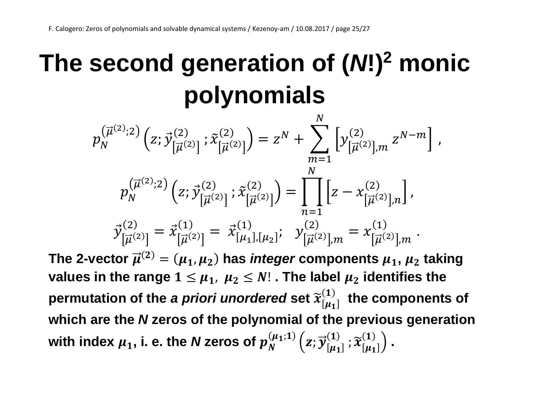## **The second generation of (***N***!)<sup>2</sup> monic polynomials**

$$
p_N^{(\vec{\mu}^{(2)};2)}(z;\vec{y}_{[\vec{\mu}^{(2)}]}^{(2)}; \tilde{x}_{[\vec{\mu}^{(2)}]}^{(2)}) = z^N + \sum_{m=1}^N \left[ y_{[\vec{\mu}^{(2)}],m}^{(2)} z^{N-m} \right],
$$
  
\n
$$
p_N^{(\vec{\mu}^{(2)};2)}(z;\vec{y}_{[\vec{\mu}^{(2)}]}^{(2)}; \tilde{x}_{[\vec{\mu}^{(2)}]}^{(2)}) = \prod_{n=1}^N \left[ z - x_{[\vec{\mu}^{(2)}],n}^{(2)} \right],
$$
  
\n
$$
\vec{y}_{[\vec{\mu}^{(2)}]}^{(2)} = \vec{x}_{[\vec{\mu}^{(2)}]}^{(1)} = \vec{x}_{[\mu_1],[\mu_2]}^{(1)}; \quad y_{[\vec{\mu}^{(2)}],m}^{(2)} = x_{[\vec{\mu}^{(2)}],m}^{(1)}.
$$

The 2-vector  $\overrightarrow{\mu}^{(2)} = (\mu_1, \mu_2)$  has *integer* components  $\mu_1$ ,  $\mu_2$  taking **values in the range**  $1 \leq \mu_1$ ,  $\mu_2 \leq N!$ . The label  $\mu_2$  identifies the permutation of the *a priori unordered* set  $\widetilde{\mathfrak{x}}^{(1)}_{[\mu_1]}$  the components of **which are the** *N* **zeros of the polynomial of the previous generation**  with index  $\mu_1$ , i. e. the *N* zeros of  $p_N^{(\mu_1;1)}\left( z;\vec{y}_{[\mu_1]}^{(1)}\right)$  $\widetilde{\left[\mu_{1}\right]}^{(1)}$  ,  $\widetilde{\chi}^{(1)}_{[\mu_{1}]}\Big)$  .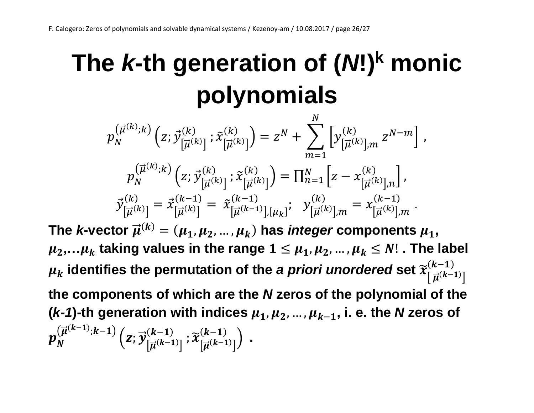## **The** *k***-th generation of (***N***!)<sup>k</sup> monic polynomials**

 $p_N^{\vee}$  $\left(\vec{\mu}^{(k)};k\right)\left(z;\vec{y}\right)$  $\left[\vec{\mu}^{(k)}\right]$  $\left(\begin{smallmatrix} k \\ \vdots \\ k\end{smallmatrix}\right)$  ;  $\widetilde{x}$  $\left[\vec{\mu}^{(k)}\right]$  $\binom{k}{\left[\right]_1(k)} = z^N + \sum \left[ y \right]$  $\left[\vec{\mu}^{(k)}\right]$ , $m$  $\binom{k}{\Box(k)}$   $Z^{N-m}$ ,  $\boldsymbol{N}$  $m=1$  $p_N^{\vee\prime}$  $\begin{pmatrix} \vec{\mu}^{(k)};k\end{pmatrix}\Big(z;\vec{\mathcal{Y}}^{(k)}_{\left[\vec{\mu}^{(k)}\right]},$  $\widetilde{k}^{(k)}_{\Gamma \to (k)1}$  ;  $\widetilde{x}$  $\left[\vec{\mu}^{(k)}\right]$  $\binom{k}{\prod_{i=1}^{n}k} = \prod_{n=1}^{N} \left[ z - x \right]$  $\left[\vec{\mu}^{(k)}\right]$ ,n  $\sum_{n=1}^{N} \left[ z - x_{\left[ \right. \right. \overrightarrow{x}}^{(k)} \right]$  $\int_{n=1}^{N} |Z - \chi_{\left[\overrightarrow{n}(k)\right]_n}^{(k)}|,$  $\vec{\mathcal{Y}}_{\left[\vec{\mu}^{\left(k\right)}\right]}^{\left(\kappa\right)}$  $\binom{(k)}{|\vec{\mu}^{(k)}|} = \vec{x}^{(k-1)}_{|\vec{\mu}^{(k)}|}$  $\frac{(k-1)}{\Gamma(\vec{x})} = \tilde{x}$  $[\vec{\mu}^{(k-1)}],[\mu_k]$  $(k-1)$ <br>  $\left[\frac{1}{k-1}(k-1)1\right]$  [... ]<sup>†</sup>  $\mathcal{Y}$  $[\vec{\mu}^{(k)}]$ , $m$  $\binom{k}{\prod_{i=1}^{n}(k)!} = x$  $\left[\vec{\mu}^{(k)}\right]$ ,*m*  $(k-1)$ <br>  $\Box(k)$  …

The *k*-vector  $\vec{\mu}^{(k)} = (\mu_1, \mu_2, ..., \mu_k)$  has *integer* components  $\mu_1$ ,  $\mu_2,...\mu_k$  taking values in the range  $1 \leq \mu_1, \mu_2,..., \mu_k \leq N!$ . The label  $\mu_k$  identifies the permutation of the *a priori unordered* set  $\widetilde{\chi}^{(\mathcal{K}-1)}_{\lceil\vec{\mu}^{(k-1)}\rceil}$  $(k-1)$ **the components of which are the** *N* **zeros of the polynomial of the**  ( $k-1$ )-th generation with indices  $\mu_1, \mu_2, ..., \mu_{k-1}$ , i. e. the *N* zeros of  $p_{N}^{(\overrightarrow{\mu}^{(k-1)};k-1)}\left( \overrightarrow{z};\overrightarrow{y}\right)$  $\left[\vec{\mu}^{(k-1)}\right]$  $\frac{(k-1)}{\Gamma \rightleftharpoons (k-1)1}$ ;  $\widetilde{\boldsymbol{\chi}}$  $\left[\vec{\mu}^{(k-1)}\right]$  $\binom{k-1}{\lceil n(k-1) \rceil}$  .